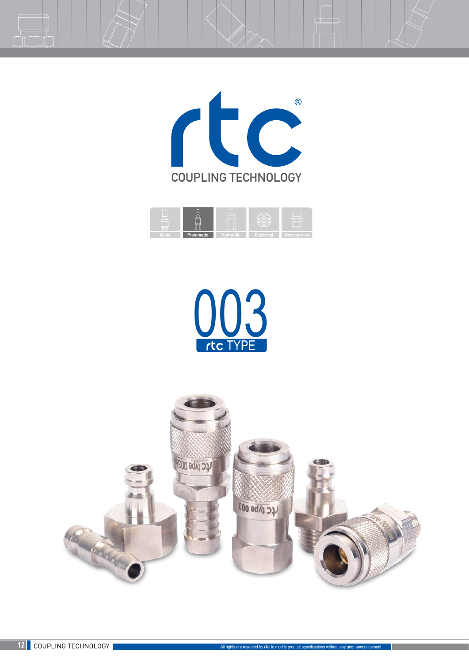







 $\equiv$   $\uparrow$ 

 $\Box$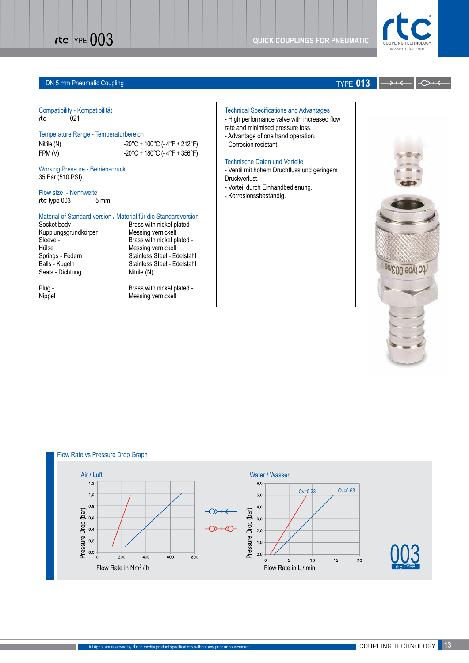

### **DN 5 mm Pneumatic Coupling TYPE 013**

### Compatibility - Kompatibilität rtc 021

### Temperature Range - Temperaturbereich

Nitrile (N)  $-20^{\circ}$ C + 100°C (- 4°F + 212°F) FPM (V)  $-20^{\circ}$ C + 180°C (-4°F + 356°F)

Working Pressure - Betriebsdruck 35 Bar (510 PSI)

Flow size - Nennweite rtc type 003 5 mm

Material of Standard version / Material für die Standardversion<br>Socket body - Brass with nickel plated -Brass with nickel plated -<br>Messing vernickelt

## Kupplungsgrundkörper Sleeve - Brass with nickel plated -<br>Hülse Messing vernickelt Hülse<br>
Springs - Federn<br>
Stainless Steel - Edern Seals - Dichtung

Springs - Federn Stainless Steel - Edelstahl<br>Balls - Kugeln Stainless Steel - Edelstahl Stainless Steel - Edelstahl<br>Nitrile (N)

Plug - Brass with nickel plated -<br>Nippel Communication of Messing vernickelt Messing vernickelt

↷

### Technical Specifications and Advantages

- High performance valve with increased flow

- rate and minimised pressure loss.
- Advantage of one hand operation.
- Corrosion resistant.

### Technische Daten und Vorteile

- Ventil mit hohem Druchfluss und geringem Druckverlust.

- Vorteil durch Einhandbedienung.
- Korrosionssbeständig.



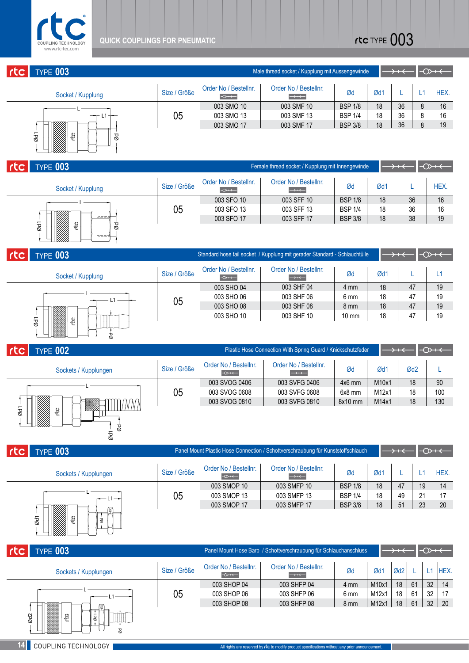

| <b>TYPE 003</b><br>rtc                                      | Male thread socket / Kupplung mit Aussengewinde |                                        |                                            |                |     |    | $\rightarrow$ |
|-------------------------------------------------------------|-------------------------------------------------|----------------------------------------|--------------------------------------------|----------------|-----|----|---------------|
| Socket / Kupplung                                           | Size / Größe                                    | Order No / Bestellnr.<br>$\rightarrow$ | Order No / Bestellnr.<br>$\longrightarrow$ | Ød             | Ød1 |    | HEX.          |
|                                                             |                                                 | 003 SMO 10                             | 003 SMF 10                                 | <b>BSP 1/8</b> | 18  | 36 | 16            |
|                                                             | 05                                              | 003 SMO 13                             | 003 SMF 13                                 | <b>BSP 1/4</b> | 18  | 36 | 16            |
|                                                             |                                                 | 003 SMO 17                             | 003 SMF 17                                 | <b>BSP 3/8</b> | 18  | 36 | 19            |
| N.<br>$\overline{\phantom{0}}$<br>CC<br>8<br>$\overline{8}$ |                                                 |                                        |                                            |                |     |    |               |

| rtc <sub>1</sub> | <b>TYPE 003</b>           | Female thread socket / Kupplung mit Innengewinde |                                        |                                            |    |     | $\leftrightarrow$ |      |  |  |
|------------------|---------------------------|--------------------------------------------------|----------------------------------------|--------------------------------------------|----|-----|-------------------|------|--|--|
|                  | Socket / Kupplung         | Size / Größe                                     | Order No / Bestellnr.<br>$\rightarrow$ | Order No / Bestellnr.<br>$\longrightarrow$ | Ød | Ød1 |                   | HEX. |  |  |
| ----             |                           | 003 SFO 10                                       | 003 SFF 10                             | <b>BSP 1/8</b>                             | 18 | 36  | 16                |      |  |  |
|                  | 05                        | 003 SFO 13                                       | 003 SFF 13                             | <b>BSP 1/4</b>                             | 18 | 36  | 16                |      |  |  |
|                  |                           | 003 SFO 17                                       | 003 SFF 17                             | <b>BSP 3/8</b>                             | 18 | 38  | 19                |      |  |  |
|                  | Ød1<br>త్తి<br>$\delta$ d |                                                  |                                        |                                            |    |     |                   |      |  |  |

|     | ę<br>$\overline{8}$<br>g           |              |                                        |                                                                           |                 |     |                              |      |
|-----|------------------------------------|--------------|----------------------------------------|---------------------------------------------------------------------------|-----------------|-----|------------------------------|------|
| rtc | TYPE 003                           |              |                                        | Female thread socket / Kupplung mit Innengewinde                          |                 |     | $\rightarrow +$              | ⊸∩≻  |
|     | Socket / Kupplung                  | Size / Größe | Order No / Bestellnr.<br>$\rightarrow$ | Order No / Bestellnr.<br>$\longrightarrow$                                | Ød              | Ød1 |                              | HEX. |
|     |                                    |              | 003 SFO 10                             | 003 SFF 10                                                                | <b>BSP 1/8</b>  | 18  | 36                           | 16   |
|     |                                    | 05           | 003 SFO 13                             | 003 SFF 13                                                                | <b>BSP 1/4</b>  | 18  | 36                           | 16   |
|     | $z = -z$                           |              | 003 SFO 17                             | 003 SFF 17                                                                | <b>BSP 3/8</b>  | 18  | 38                           | 19   |
|     | Ød1<br>ඳී<br>ød<br>----            |              |                                        |                                                                           |                 |     |                              |      |
|     | <b>TYPE 003</b>                    |              |                                        | Standard hose tail socket / Kupplung mit gerader Standard - Schlauchtülle |                 |     | $\rightarrow$ + $\leftarrow$ | ⊸≫   |
|     | Socket / Kupplung                  | Size / Größe | Order No / Bestellnr.<br>$\rightarrow$ | Order No / Bestellnr.<br>$\longrightarrow$                                | Ød              | Ød1 |                              | L1   |
|     |                                    |              | 003 SHO 04                             | 003 SHF 04                                                                | $4 \text{ mm}$  | 18  | 47                           | 19   |
|     | L <sub>1</sub>                     | 05           | 003 SHO 06                             | 003 SHF 06                                                                | 6 mm            | 18  | 47                           | 19   |
|     |                                    |              | 003 SHO 08                             | 003 SHF 08                                                                | $8 \text{ mm}$  | 18  | 47                           | 19   |
|     |                                    |              | 003 SHO 10                             | 003 SHF 10                                                                | $10 \text{ mm}$ | 18  | 47                           | 19   |
|     | $\overline{\mathcal{O}}$<br>G<br>g |              |                                        |                                                                           |                 |     |                              |      |

| <b>TYPE 002</b>                                                                                                                                                                                                                                    | Plastic Hose Connection With Spring Guard / Knickschutzfeder |                                        |                                            |          |                 |                 | $\rightarrow$ |
|----------------------------------------------------------------------------------------------------------------------------------------------------------------------------------------------------------------------------------------------------|--------------------------------------------------------------|----------------------------------------|--------------------------------------------|----------|-----------------|-----------------|---------------|
| Sockets / Kupplungen                                                                                                                                                                                                                               | Size / Größe                                                 | Order No / Bestellnr.<br>$\rightarrow$ | Order No / Bestellnr.<br>$\longrightarrow$ | Ød       | Ød <sup>-</sup> | Ød <sub>2</sub> |               |
| ▩                                                                                                                                                                                                                                                  | 05                                                           | 003 SVOG 0406                          | 003 SVFG 0406                              | $4x6$ mm | M10x1           | 18              | 90            |
|                                                                                                                                                                                                                                                    |                                                              | 003 SVOG 0608                          | 003 SVFG 0608                              | 6x8 mm   | M12x1           | 18              | 100           |
|                                                                                                                                                                                                                                                    |                                                              | 003 SVOG 0810                          | 003 SVFG 0810                              | 8x10 mm  | M14x1           | 18              | 130           |
| e de la construcción de la construcción de la construcción de la construcción de la construcción de la construcción de la construcción de la construcción de la construcción de la construcción de la construcción de la const<br>Ød1<br>දී  <br>ರ |                                                              |                                        |                                            |          |                 |                 |               |

|              | ड                    |                                                                                                                                   |                                        |                                            |                |     |    |    |      |
|--------------|----------------------|-----------------------------------------------------------------------------------------------------------------------------------|----------------------------------------|--------------------------------------------|----------------|-----|----|----|------|
| <b>I</b> rtc | <b>TYPE 003</b>      | Panel Mount Plastic Hose Connection / Schottverschraubung für Kunststoffschlauch<br>$\rightarrow$<br>$\rightarrow$ + $\leftarrow$ |                                        |                                            |                |     |    |    |      |
|              | Sockets / Kupplungen | Size / Größe                                                                                                                      | Order No / Bestellnr.<br>$\rightarrow$ | Order No / Bestellnr.<br>$\longrightarrow$ | Ød             | Ød1 |    |    | HEX. |
|              |                      |                                                                                                                                   | 003 SMOP 10                            | 003 SMFP 10                                | <b>BSP 1/8</b> | 18  | 47 | 19 | 14   |
|              | $1 -$                | 05                                                                                                                                | 003 SMOP 13                            | 003 SMFP 13                                | <b>BSP 1/4</b> | 18  | 49 | 21 | 17   |
|              | 4∰<br>E<br>Ød1<br>ød | 003 SMOP 17                                                                                                                       | 003 SMFP 17                            | <b>BSP 3/8</b>                             | 18             | 51  | 23 | 20 |      |
|              |                      |                                                                                                                                   |                                        |                                            |                |     |    |    |      |

| rtc  <br><b>TYPE 003</b>                                        |              |                                        | Panel Mount Hose Barb / Schottverschraubung für Schlauchanschluss |      |       | $\rightarrow$ + $\leftarrow$ |    | $\rightarrow$   |            |
|-----------------------------------------------------------------|--------------|----------------------------------------|-------------------------------------------------------------------|------|-------|------------------------------|----|-----------------|------------|
| Sockets / Kupplungen                                            | Size / Größe | Order No / Bestellnr.<br>$\rightarrow$ | Order No / Bestellnr.<br>$\longrightarrow$                        | Ød   | Øď    | Ød <sub>2</sub>              |    |                 | <b>HEX</b> |
|                                                                 |              | 003 SHOP 04                            | 003 SHFP 04                                                       | 4 mm | M10x1 | 18                           | 61 | 32 <sup>2</sup> | 14         |
|                                                                 | 05           | 003 SHOP 06                            | 003 SHFP 06                                                       | 6 mm | M12x1 | 18                           | 61 | 32              | 17         |
| (¤∐                                                             |              | 003 SHOP 08                            | 003 SHFP 08                                                       | 8 mm | M12x1 | 18                           | 61 | 32              | 20         |
| Na Kabupatén Kabupatén Kabu<br>Ød2<br>CC<br>$\overline{\omega}$ |              |                                        |                                                                   |      |       |                              |    |                 |            |

Ød

1 Ød